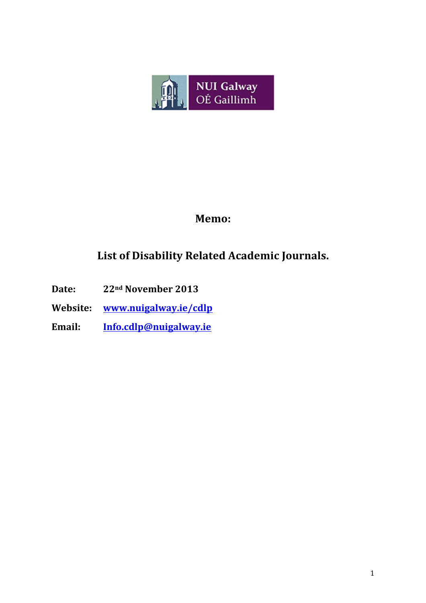

### **Memo:**

## List of Disability Related Academic Journals.

- **Date: 22<sup>nd</sup> November 2013**
- **Website:! www.nuigalway.ie/cdlp!!**
- **Email:! Info.cdlp@nuigalway.ie**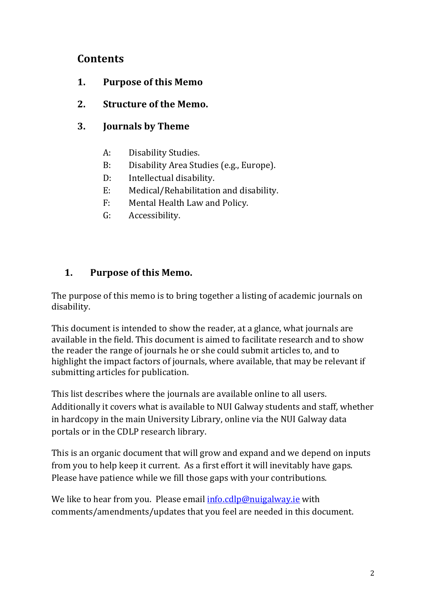### **Contents**

- **1.** Purpose of this Memo
- 2. **Structure of the Memo.**
- **3. Journals!by!Theme**
	- A: Disability Studies.
	- B: Disability Area Studies (e.g., Europe).
	- D: Intellectual disability.
	- E: Medical/Rehabilitation and disability.
	- F: Mental Health Law and Policy.
	- G: Accessibility.

### **1.** Purpose of this Memo.

The purpose of this memo is to bring together a listing of academic journals on disability.

This document is intended to show the reader, at a glance, what journals are available in the field. This document is aimed to facilitate research and to show the reader the range of journals he or she could submit articles to, and to highlight the impact factors of journals, where available, that may be relevant if submitting articles for publication.

This list describes where the journals are available online to all users. Additionally it covers what is available to NUI Galway students and staff, whether in hardcopy in the main University Library, online via the NUI Galway data portals or in the CDLP research library.

This is an organic document that will grow and expand and we depend on inputs from you to help keep it current. As a first effort it will inevitably have gaps. Please have patience while we fill those gaps with your contributions.

We like to hear from you. Please email  $info.cdlp@nuigalway.ie with$ comments/amendments/updates that you feel are needed in this document.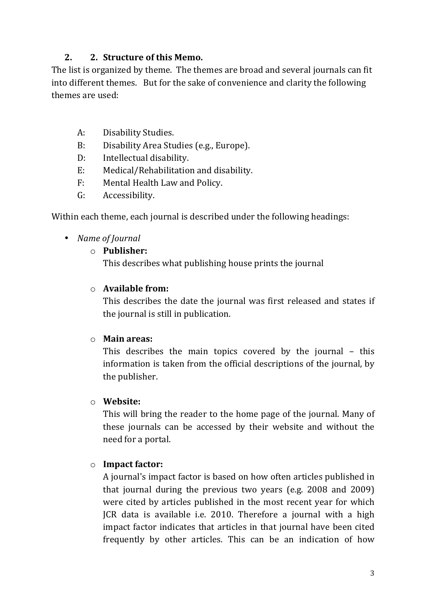### **2. 2. Structure of this Memo.**

The list is organized by theme. The themes are broad and several journals can fit into different themes. But for the sake of convenience and clarity the following themes are used:

- A: Disability Studies.
- B: Disability Area Studies (e.g., Europe).
- D: Intellectual disability.
- E: Medical/Rehabilitation and disability.
- F: Mental Health Law and Policy.
- G: Accessibility.

Within each theme, each journal is described under the following headings:

- *Name of Journal* 
	- o **Publisher:!**

This describes what publishing house prints the journal

#### o **Available!from:!**

This describes the date the journal was first released and states if the journal is still in publication.

#### o **Main!areas:!**

This describes the main topics covered by the journal  $-$  this information is taken from the official descriptions of the journal, by the publisher.

#### o **Website:!**

This will bring the reader to the home page of the journal. Many of these journals can be accessed by their website and without the need for a portal.

#### o **Impact!factor:!**

A journal's impact factor is based on how often articles published in that journal during the previous two vears (e.g.  $2008$  and  $2009$ ) were cited by articles published in the most recent year for which JCR data is available i.e. 2010. Therefore a journal with a high impact factor indicates that articles in that journal have been cited frequently by other articles. This can be an indication of how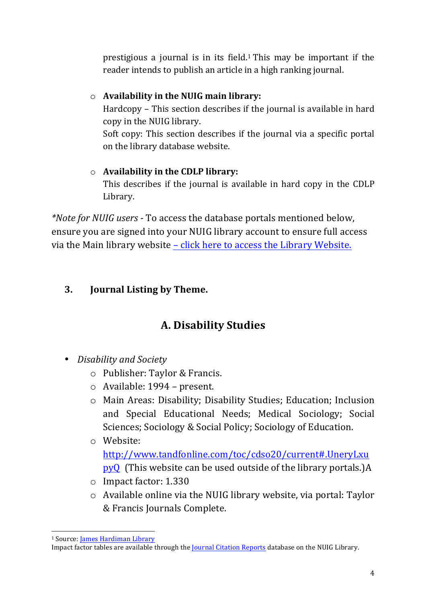prestigious a journal is in its field.<sup>1</sup> This may be important if the reader intends to publish an article in a high ranking journal.

### o **Availability in the NUIG main library:**

Hardcopy – This section describes if the journal is available in hard copy in the NUIG library.

Soft copy: This section describes if the journal via a specific portal on the library database website.

# o **Availability in the CDLP library:**

This describes if the journal is available in hard copy in the CDLP Library.

*\*Note for NUIG users* - To access the database portals mentioned below, ensure you are signed into your NUIG library account to ensure full access via the Main library website - click here to access the Library Website.

### **3. Journal Listing by Theme.**

# **A.!Disability!Studies**

- *Disability%and%Society*
	- o Publisher: Taylor & Francis.
	- $\circ$  Available: 1994 present.
	- o Main!Areas: Disability;!Disability!Studies;!Education;! Inclusion! and Special Educational Needs; Medical Sociology; Social Sciences; Sociology & Social Policy; Sociology of Education.
	- o Website: http://www.tandfonline.com/toc/cdso20/current#.UneryLxu  $pvQ$  (This website can be used outside of the library portals.)A
	- o Impact factor: 1.330
	- $\circ$  Available online via the NUIG library website, via portal: Taylor & Francis Journals Complete.

<sup>!!!!!!!!!!!!!!!!!!!!!!!!!!!!!!!!!!!!!!!!!!!!!!!!!!!!!!!!!!!!</sup> <sup>1</sup> Source: James Hardiman Library

Impact factor tables are available through the Journal Citation Reports database on the NUIG Library.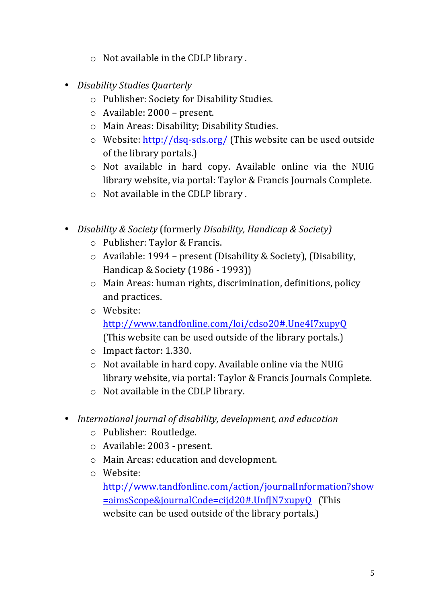- $\circ$  Not available in the CDLP library.
- Disability Studies Quarterly
	- o Publisher: Society for Disability Studies.
	- $\circ$  Available: 2000 present.
	- o Main Areas: Disability; Disability Studies.
	- $\circ$  Website: http://dsq-sds.org/ (This website can be used outside of the library portals.)
	- $\circ$  Not available in hard copy. Available online via the NUIG library website, via portal: Taylor & Francis Journals Complete.
	- $\circ$  Not available in the CDLP library.
- *Disability & Society* (formerly *Disability, Handicap & Society*)
	- o Publisher: Taylor & Francis.
	- $\circ$  Available: 1994 present (Disability & Society), (Disability, Handicap & Society (1986 - 1993))
	- $\circ$  Main Areas: human rights, discrimination, definitions, policy and practices.
	- o Website:

http://www.tandfonline.com/loi/cdso20#.Une4I7xupyQ!!!

(This website can be used outside of the library portals.)

- $\circ$  Impact factor: 1.330.
- $\circ$  Not available in hard copy. Available online via the NUIG library website, via portal: Taylor & Francis Journals Complete.
- $\circ$  Not available in the CDLP library.
- *International journal of disability, development, and education* 
	- o Publisher: Routledge.
	- $\circ$  Available: 2003 present.
	- o Main Areas: education and development.
	- o Website:

http://www.tandfonline.com/action/journalInformation?show =aimsScope&journalCode=cijd20#.UnfJN7xupyQ!!!(This! website can be used outside of the library portals.)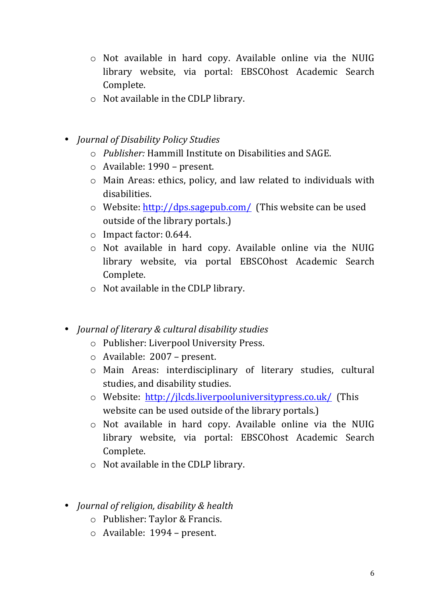- $\circ$  Not available in hard copy. Available online via the NUIG library website, via portal: EBSCOhost Academic Search Complete.
- $\circ$  Not available in the CDLP library.
- *Journal%of%Disability%Policy%Studies*
	- o *Publisher:%*Hammill!Institute!on!Disabilities!and!SAGE.
	- $\circ$  Available: 1990 present.
	- $\circ$  Main Areas: ethics, policy, and law related to individuals with disabilities.
	- o Website:  $\frac{http://dps.sagepub.com/}{http://dps.sagepub.com/}$  (This website can be used outside of the library portals.)
	- $\circ$  Impact factor: 0.644.
	- $\circ$  Not available in hard copy. Available online via the NUIG library website, via portal EBSCOhost Academic Search Complete.
	- $\circ$  Not available in the CDLP library.
- *Journal of literary & cultural disability studies* 
	- o Publisher: Liverpool University Press.
	- $\circ$  Available: 2007 present.
	- o Main! Areas: interdisciplinary! of! literary! studies,! cultural! studies, and disability studies.
	- o Website: http://jlcds.liverpooluniversitypress.co.uk/ (This website can be used outside of the library portals.)
	- $\circ$  Not available in hard copy. Available online via the NUIG library website, via portal: EBSCOhost Academic Search Complete.
	- $\circ$  Not available in the CDLP library.
- *Journal%of%religion,%disability%&%health*
	- o Publisher: Taylor & Francis.
	- o Available: 1994 present.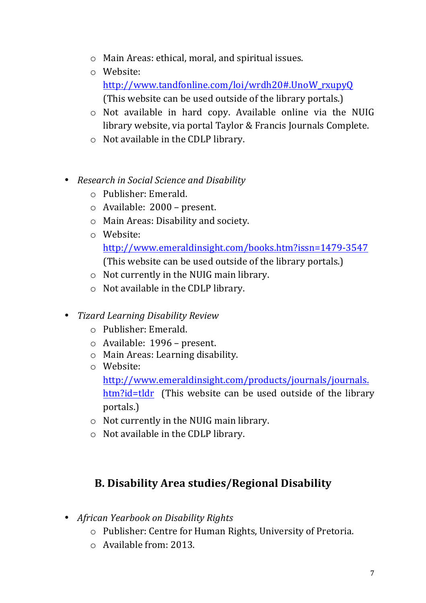- $\circ$  Main Areas: ethical, moral, and spiritual issues.
- o Website: http://www.tandfonline.com/loi/wrdh20#.UnoW\_rxupyQ!! (This website can be used outside of the library portals.)
- o Not available in hard copy. Available online via the NUIG library website, via portal Taylor & Francis Journals Complete.
- $\circ$  Not available in the CDLP library.
- *Research in Social Science and Disability* 
	- $\circ$  Publisher: Emerald.
	- $\circ$  Available: 2000 present.
	- o Main Areas: Disability and society.
	- o Website:
		- http://www.emeraldinsight.com/books.htm?issn=1479-3547 (This website can be used outside of the library portals.)
	- $\circ$  Not currently in the NUIG main library.
	- $\circ$  Not available in the CDLP library.
- *Tizard%Learning%Disability%Review%*
	- $\circ$  Publisher: Emerald.
	- o Available: 1996 present.
	- o Main Areas: Learning disability.
	- o Website:

http://www.emeraldinsight.com/products/journals/journals. htm?id=tldr (This website can be used outside of the library portals.)

- $\circ$  Not currently in the NUIG main library.
- $\circ$  Not available in the CDLP library.

## **B. Disability Area studies/Regional Disability**

- *African Yearbook on Disability Rights* 
	- o Publisher: Centre for Human Rights, University of Pretoria.
	- $\circ$  Available from: 2013.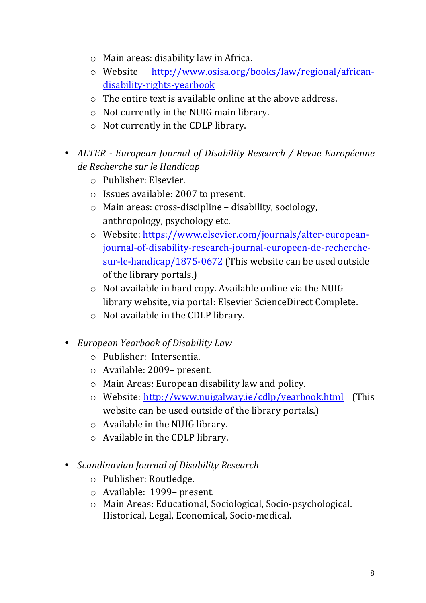- $\circ$  Main areas: disability law in Africa.
- o Website http://www.osisa.org/books/law/regional/african\_ disability-rights-yearbook
- $\circ$  The entire text is available online at the above address.
- $\circ$  Not currently in the NUIG main library.
- $\circ$  Not currently in the CDLP library.
- *ALTER European Journal of Disability Research / Revue Européenne de%Recherche%sur%le%Handicap*
	- $\circ$  Publisher: Elsevier.
	- $\circ$  Issues available: 2007 to present.
	- $\circ$  Main areas: cross-discipline disability, sociology, anthropology, psychology etc.
	- o Website: https://www.elsevier.com/journals/alter-europeanjournal-of-disability-research-journal-europeen-de-recherchesur-le-handicap/1875-0672 (This website can be used outside of the library portals.)
	- $\circ$  Not available in hard copy. Available online via the NUIG library website, via portal: Elsevier ScienceDirect Complete.
	- $\circ$  Not available in the CDLP library.
- *European%Yearbook%of%Disability%Law*
	- o Publisher: Intersentia.
	- o Available: 2009- present.
	- $\circ$  Main Areas: European disability law and policy.
	- o Website: http://www.nuigalway.ie/cdlp/yearbook.html!!!(This! website can be used outside of the library portals.)
	- $\circ$  Available in the NUIG library.
	- $\circ$  Available in the CDLP library.
- *Scandinavian%Journal%of%Disability%Research*
	- o Publisher: Routledge.
	- o Available: 1999– present.
	- o Main Areas: Educational, Sociological, Socio-psychological. Historical, Legal, Economical, Socio-medical.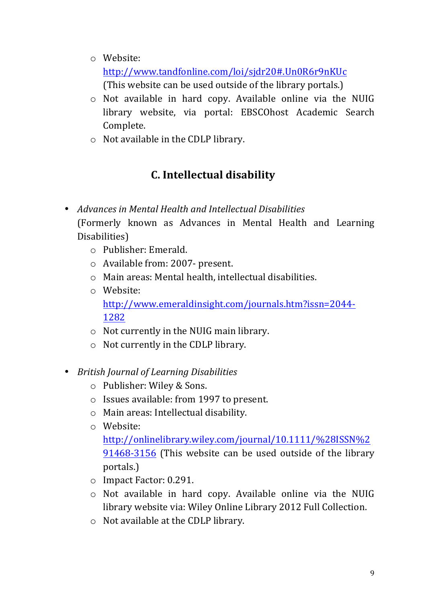o Website:

http://www.tandfonline.com/loi/sjdr20#.Un0R6r9nKUc!!! (This website can be used outside of the library portals.)

- $\circ$  Not available in hard copy. Available online via the NUIG library website, via portal: EBSCOhost Academic Search Complete.
- $\circ$  Not available in the CDLP library.

# **C.** Intellectual disability

- *Advances in Mental Health and Intellectual Disabilities* (Formerly known as Advances in Mental Health and Learning Disabilities)
	- $\circ$  Publisher: Emerald.
	- o Available from: 2007- present.
	- $\circ$  Main areas: Mental health, intellectual disabilities.
	- $\circ$  Website: http://www.emeraldinsight.com/journals.htm?issn=2044\_ 1282
	- $\circ$  Not currently in the NUIG main library.
	- $\circ$  Not currently in the CDLP library.
- *British%Journal%of%Learning%Disabilities*
	- o Publisher: Wiley & Sons.
	- $\circ$  Issues available: from 1997 to present.
	- $\circ$  Main areas: Intellectual disability.
	- o Website:

http://onlinelibrary.wiley.com/journal/10.1111/%28ISSN%2 91468-3156 (This website can be used outside of the library portals.)

- o Impact Factor: 0.291.
- $\circ$  Not available in hard copy. Available online via the NUIG library website via: Wiley Online Library 2012 Full Collection.
- $\circ$  Not available at the CDLP library.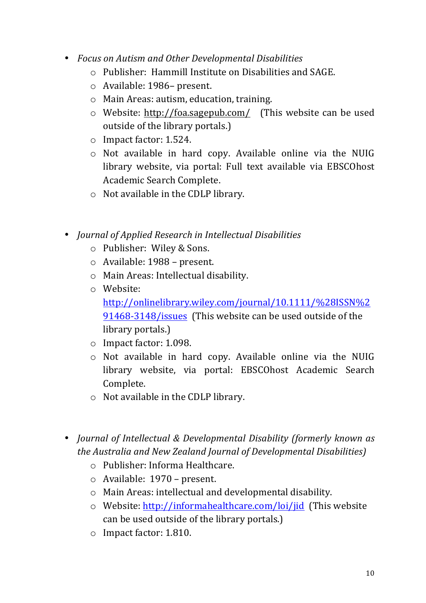- *Focus%on%Autism%and%Other%Developmental%Disabilities*
	- $\circ$  Publisher: Hammill Institute on Disabilities and SAGE.
	- o Available: 1986– present.
	- $\circ$  Main Areas: autism, education, training.
	- o Website: http://foa.sagepub.com/ (This website can be used outside of the library portals.)
	- $\circ$  Impact factor: 1.524.
	- $\circ$  Not available in hard copy. Available online via the NUIG library website, via portal: Full text available via EBSCOhost Academic Search Complete.
	- $\circ$  Not available in the CDLP library.
- *Journal of Applied Research in Intellectual Disabilities* 
	- o Publisher: Wiley & Sons.
	- $\circ$  Available: 1988 present.
	- $\circ$  Main Areas: Intellectual disability.
	- o Website:!
		- http://onlinelibrary.wiley.com/journal/10.1111/%28ISSN%2 91468-3148/issues (This website can be used outside of the library portals.)
	- o Impact factor: 1.098.
	- $\circ$  Not available in hard copy. Available online via the NUIG library website, via portal: EBSCOhost Academic Search Complete.
	- $\circ$  Not available in the CDLP library.
- *Journal of Intellectual & Developmental Disability (formerly known as the%Australia%and%New%Zealand Journal%of%Developmental%Disabilities)*
	- o Publisher: Informa Healthcare.
	- o Available: 1970 present.
	- $\circ$  Main Areas: intellectual and developmental disability.
	- $\circ$  Website: http://informahealthcare.com/loi/jid (This website can be used outside of the library portals.)
	- $\circ$  Impact factor: 1.810.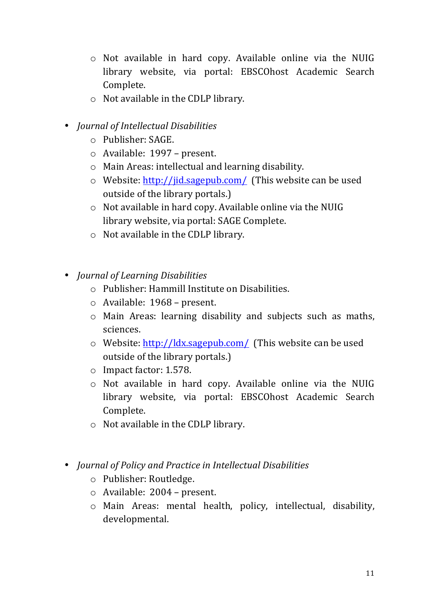- $\circ$  Not available in hard copy. Available online via the NUIG library website, via portal: EBSCOhost Academic Search Complete.
- $\circ$  Not available in the CDLP library.
- *Journal%of%Intellectual%Disabilities*
	- $\circ$  Publisher: SAGE.
	- $\circ$  Available: 1997 present.
	- $\circ$  Main Areas: intellectual and learning disability.
	- o Website: http://jid.sagepub.com/ (This website can be used outside of the library portals.)
	- $\circ$  Not available in hard copy. Available online via the NUIG library website, via portal: SAGE Complete.
	- $\circ$  Not available in the CDLP library.
- *Journal of Learning Disabilities* 
	- $\circ$  Publisher: Hammill Institute on Disabilities.
	- o Available: 1968 present.
	- $\circ$  Main Areas: learning disability and subjects such as maths, sciences.
	- $\circ$  Website: http://ldx.sagepub.com/ (This website can be used outside of the library portals.)
	- o Impact factor: 1.578.
	- $\circ$  Not available in hard copy. Available online via the NUIG library website, via portal: EBSCOhost Academic Search Complete.
	- $\circ$  Not available in the CDLP library.
- *Journal of Policy and Practice in Intellectual Disabilities* 
	- o Publisher:!Routledge.
	- $\circ$  Available: 2004 present.
	- o Main! Areas: mental! health,! policy,! intellectual,! disability,! developmental.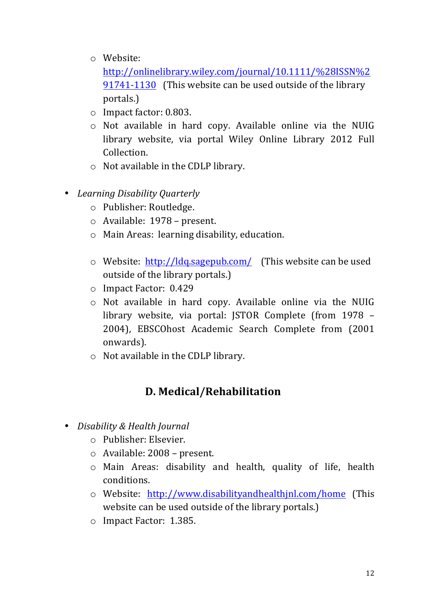- o Website:!
	- http://onlinelibrary.wiley.com/journal/10.1111/%28ISSN%2 91741-1130 (This website can be used outside of the library portals.)
- $\circ$  Impact factor: 0.803.
- $\circ$  Not available in hard copy. Available online via the NUIG library website, via portal Wiley Online Library 2012 Full Collection.
- $\circ$  Not available in the CDLP library.
- Learning Disability Quarterly
	- o Publisher: Routledge.
	- o Available: 1978 present.
	- $\circ$  Main Areas: learning disability, education.
	- $\circ$  Website: http://ldq.sagepub.com/ (This website can be used outside of the library portals.)
	- o Impact Factor: 0.429
	- $\circ$  Not available in hard copy. Available online via the NUIG library website, via portal: JSTOR Complete (from 1978 – 2004), EBSCOhost Academic Search Complete from (2001) onwards).
	- $\circ$  Not available in the CDLP library.

## **D.!Medical/Rehabilitation**

- *Disability & Health Journal* 
	- $\circ$  Publisher: Elsevier.
	- $\circ$  Available: 2008 present.
	- $\circ$  Main Areas: disability and health, quality of life, health conditions.
	- o Website: http://www.disabilityandhealthjnl.com/home (This! website can be used outside of the library portals.)
	- o Impact Factor: 1.385.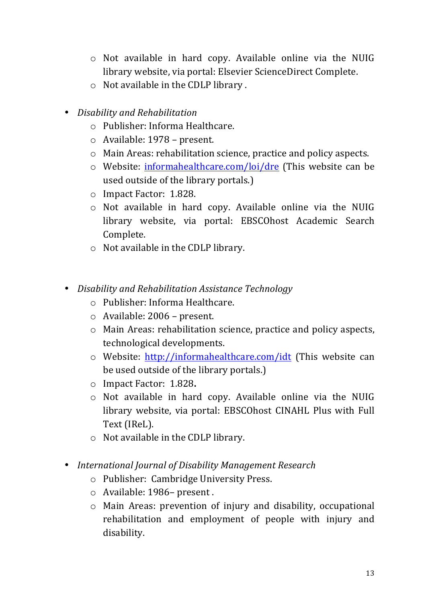- $\circ$  Not available in hard copy. Available online via the NUIG library website, via portal: Elsevier ScienceDirect Complete.
- $\circ$  Not available in the CDLP library.
- *Disability%and%Rehabilitation*
	- $\circ$  Publisher: Informa Healthcare.
	- $\circ$  Available: 1978 present.
	- $\circ$  Main Areas: rehabilitation science, practice and policy aspects.
	- $\circ$  Website: informahealthcare.com/loi/dre (This website can be used outside of the library portals.)
	- o Impact Factor: 1.828.
	- $\circ$  Not available in hard copy. Available online via the NUIG library website, via portal: EBSCOhost Academic Search Complete.
	- $\circ$  Not available in the CDLP library.
- *Disability%and%Rehabilitation%Assistance%Technology*
	- $\circ$  Publisher: Informa Healthcare.
	- $\circ$  Available: 2006 present.
	- $\circ$  Main Areas: rehabilitation science, practice and policy aspects, technological developments.
	- $\circ$  Website: http://informahealthcare.com/idt (This website can be used outside of the library portals.)
	- o Impact!Factor:!!1.828**.**
	- $\circ$  Not available in hard copy. Available online via the NUIG library website, via portal: EBSCOhost CINAHL Plus with Full Text (IReL).
	- $\circ$  Not available in the CDLP library.
- *International Journal of Disability Management Research* 
	- o Publisher: Cambridge University Press.
	- o Available: 1986– present.
	- $\circ$  Main Areas: prevention of injury and disability, occupational rehabilitation and employment of people with injury and disability.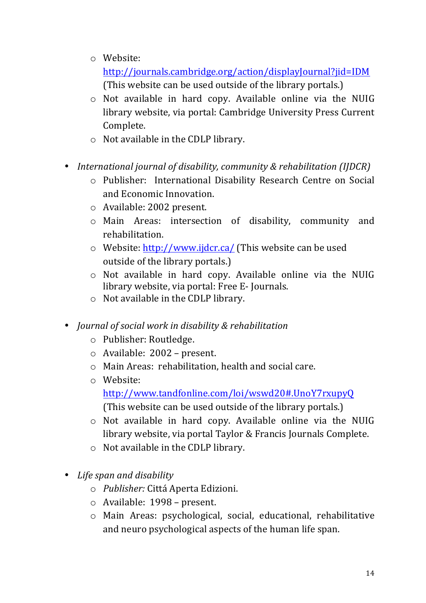o Website:

http://journals.cambridge.org/action/displayJournal?jid=IDM (This website can be used outside of the library portals.)

- $\circ$  Not available in hard copy. Available online via the NUIG library website, via portal: Cambridge University Press Current Complete.
- $\circ$  Not available in the CDLP library.
- *International journal of disability, community & rehabilitation (IJDCR)* 
	- o Publisher: International Disability Research Centre on Social and Economic Innovation.
	- $\circ$  Available: 2002 present.
	- o Main! Areas: intersection! of! disability,! community! and! rehabilitation.
	- $\circ$  Website: http://www.ijdcr.ca/ (This website can be used outside of the library portals.)
	- $\circ$  Not available in hard copy. Available online via the NUIG library website, via portal: Free E-Journals.
	- $\circ$  Not available in the CDLP library.
- *Journal of social work in disability & rehabilitation* 
	- o Publisher: Routledge.
	- $\circ$  Available: 2002 present.
	- $\circ$  Main Areas: rehabilitation, health and social care.
	- o Website:
		- http://www.tandfonline.com/loi/wswd20#.UnoY7rxupyQ!!! (This website can be used outside of the library portals.)
	- $\circ$  Not available in hard copy. Available online via the NUIG library website, via portal Taylor & Francis Journals Complete.
	- $\circ$  Not available in the CDLP library.
- Life span and disability
	- o *Publisher:* Cittá Aperta Edizioni.
	- o Available: 1998 present.
	- o Main! Areas: psychological,! social,! educational,! rehabilitative! and neuro psychological aspects of the human life span.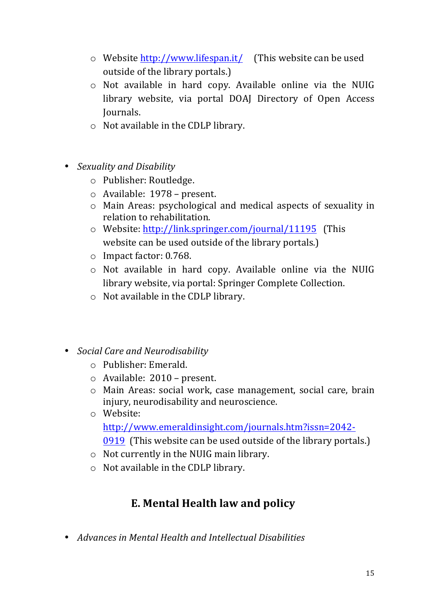- $\circ$  Website http://www.lifespan.it/ (This website can be used outside of the library portals.)
- $\circ$  Not available in hard copy. Available online via the NUIG library website, via portal DOAJ Directory of Open Access Journals.
- $\circ$  Not available in the CDLP library.
- *Sexuality and Disability* 
	- o Publisher: Routledge.
	- $\circ$  Available: 1978 present.
	- $\circ$  Main Areas: psychological and medical aspects of sexuality in relation to rehabilitation.
	- o Website: http://link.springer.com/journal/11195 (This website can be used outside of the library portals.)
	- $\circ$  Impact factor: 0.768.
	- $\circ$  Not available in hard copy. Available online via the NUIG library website, via portal: Springer Complete Collection.
	- $\circ$  Not available in the CDLP library.
- *Social%Care%and%Neurodisability*
	- $\circ$  Publisher: Emerald.
	- $\circ$  Available: 2010 present.
	- o Main Areas: social work, case management, social care, brain injury, neurodisability and neuroscience.
	- o Website: http://www.emeraldinsight.com/journals.htm?issn=2042\_ 0919 (This website can be used outside of the library portals.)
	- $\circ$  Not currently in the NUIG main library.
	- $\circ$  Not available in the CDLP library.

## **E. Mental Health law and policy**

• *Advances in Mental Health and Intellectual Disabilities*